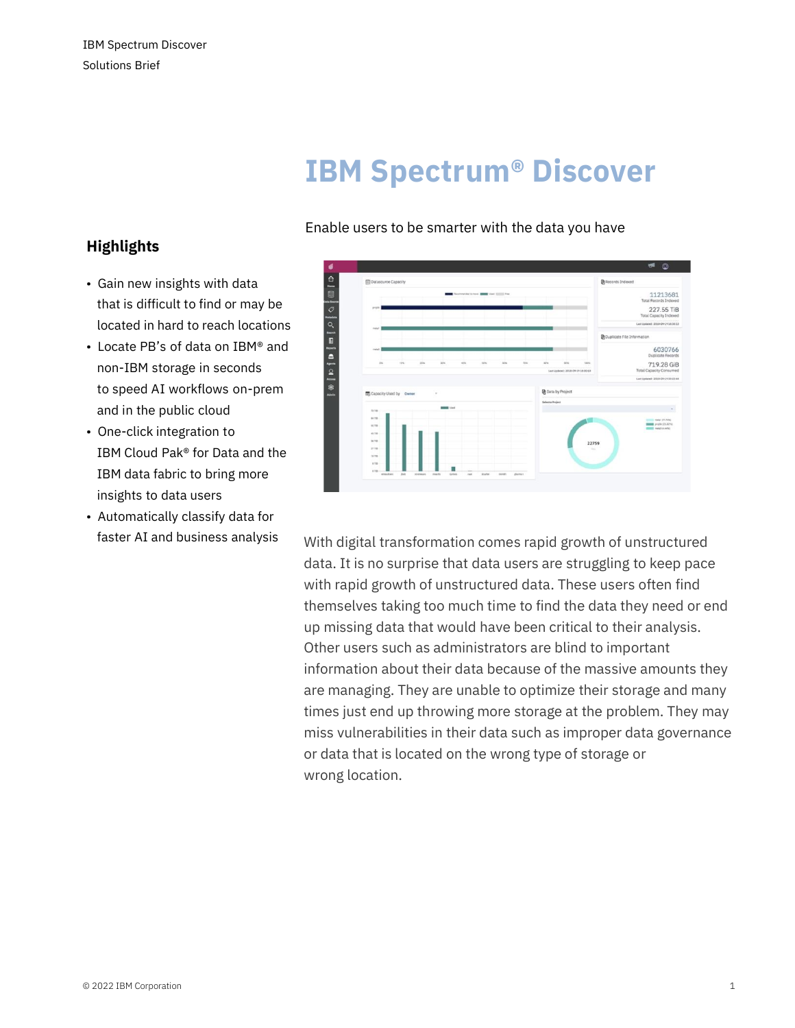# **IBM Spectrum® Discover**

### Enable users to be smarter with the data you have

## **Highlights**

- Gain new insights with data that is difficult to find or may be located in hard to reach locations
- Locate PB's of data on IBM® and non-IBM storage in seconds to speed AI workflows on-prem and in the public cloud
- One-click integration to IBM Cloud Pak® for Data and the IBM data fabric to bring more insights to data users
- Automatically classify data for



faster AI and business analysis With digital transformation comes rapid growth of unstructured data. It is no surprise that data users are struggling to keep pace with rapid growth of unstructured data. These users often find themselves taking too much time to find the data they need or end up missing data that would have been critical to their analysis. Other users such as administrators are blind to important information about their data because of the massive amounts they are managing. They are unable to optimize their storage and many times just end up throwing more storage at the problem. They may miss vulnerabilities in their data such as improper data governance or data that is located on the wrong type of storage or wrong location.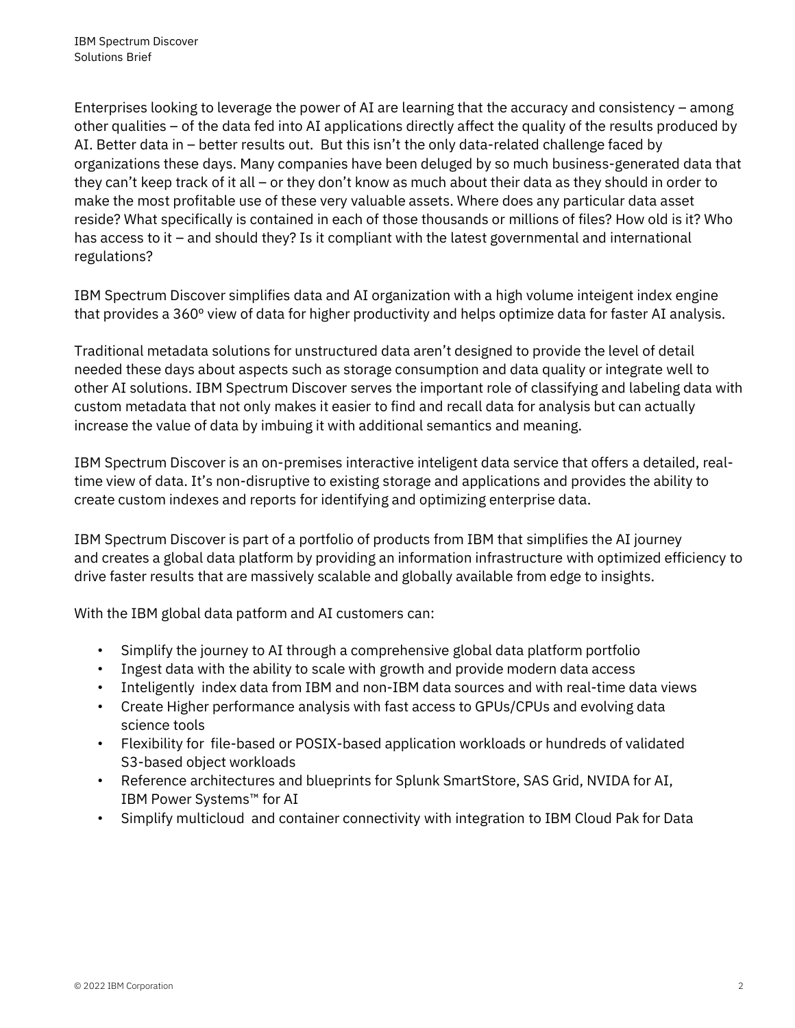Enterprises looking to leverage the power of AI are learning that the accuracy and consistency – among other qualities – of the data fed into AI applications directly affect the quality of the results produced by AI. Better data in – better results out. But this isn't the only data-related challenge faced by organizations these days. Many companies have been deluged by so much business-generated data that they can't keep track of it all – or they don't know as much about their data as they should in order to make the most profitable use of these very valuable assets. Where does any particular data asset reside? What specifically is contained in each of those thousands or millions of files? How old is it? Who has access to it – and should they? Is it compliant with the latest governmental and international regulations?

IBM Spectrum Discover simplifies data and AI organization with a high volume inteigent index engine that provides a 360º view of data for higher productivity and helps optimize data for faster AI analysis.

Traditional metadata solutions for unstructured data aren't designed to provide the level of detail needed these days about aspects such as storage consumption and data quality or integrate well to other AI solutions. IBM Spectrum Discover serves the important role of classifying and labeling data with custom metadata that not only makes it easier to find and recall data for analysis but can actually increase the value of data by imbuing it with additional semantics and meaning.

IBM Spectrum Discover is an on-premises interactive inteligent data service that offers a detailed, realtime view of data. It's non-disruptive to existing storage and applications and provides the ability to create custom indexes and reports for identifying and optimizing enterprise data.

IBM Spectrum Discover is part of a portfolio of products from IBM that simplifies the AI journey and creates a global data platform by providing an information infrastructure with optimized efficiency to drive faster results that are massively scalable and globally available from edge to insights.

With the IBM global data patform and AI customers can:

- Simplify the journey to AI through a comprehensive global data platform portfolio
- Ingest data with the ability to scale with growth and provide modern data access
- Inteligently index data from IBM and non-IBM data sources and with real-time data views
- Create Higher performance analysis with fast access to GPUs/CPUs and evolving data science tools
- Flexibility for file-based or POSIX-based application workloads or hundreds of validated S3-based object workloads
- Reference architectures and blueprints for Splunk SmartStore, SAS Grid, NVIDA for AI, IBM Power Systems™ for AI
- Simplify multicloud and container connectivity with integration to IBM Cloud Pak for Data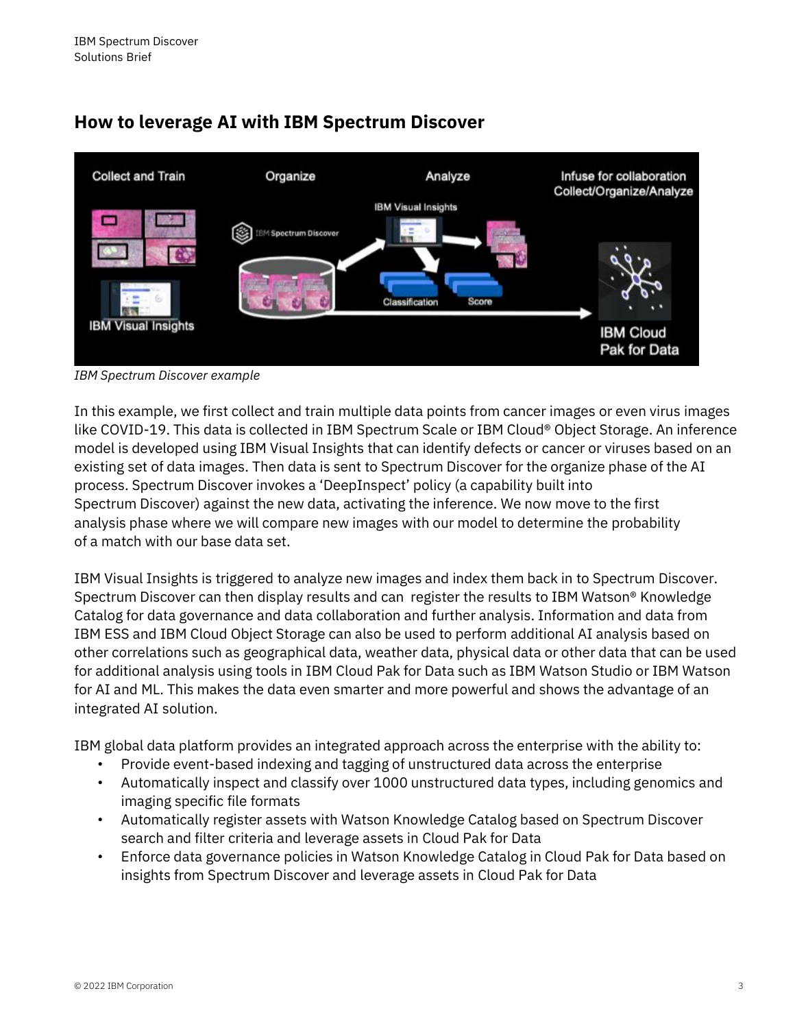



*IBM Spectrum Discover example* 

In this example, we first collect and train multiple data points from cancer images or even virus images like COVID-19. This data is collected in IBM Spectrum Scale or IBM Cloud® Object Storage. An inference model is developed using IBM Visual Insights that can identify defects or cancer or viruses based on an existing set of data images. Then data is sent to Spectrum Discover for the organize phase of the AI process. Spectrum Discover invokes a 'DeepInspect' policy (a capability built into Spectrum Discover) against the new data, activating the inference. We now move to the first analysis phase where we will compare new images with our model to determine the probability of a match with our base data set.

IBM Visual Insights is triggered to analyze new images and index them back in to Spectrum Discover. Spectrum Discover can then display results and can register the results to IBM Watson® Knowledge Catalog for data governance and data collaboration and further analysis. Information and data from IBM ESS and IBM Cloud Object Storage can also be used to perform additional AI analysis based on other correlations such as geographical data, weather data, physical data or other data that can be used for additional analysis using tools in IBM Cloud Pak for Data such as IBM Watson Studio or IBM Watson for AI and ML. This makes the data even smarter and more powerful and shows the advantage of an integrated AI solution.

IBM global data platform provides an integrated approach across the enterprise with the ability to:

- Provide event-based indexing and tagging of unstructured data across the enterprise
- Automatically inspect and classify over 1000 unstructured data types, including genomics and imaging specific file formats
- Automatically register assets with Watson Knowledge Catalog based on Spectrum Discover search and filter criteria and leverage assets in Cloud Pak for Data
- Enforce data governance policies in Watson Knowledge Catalog in Cloud Pak for Data based on insights from Spectrum Discover and leverage assets in Cloud Pak for Data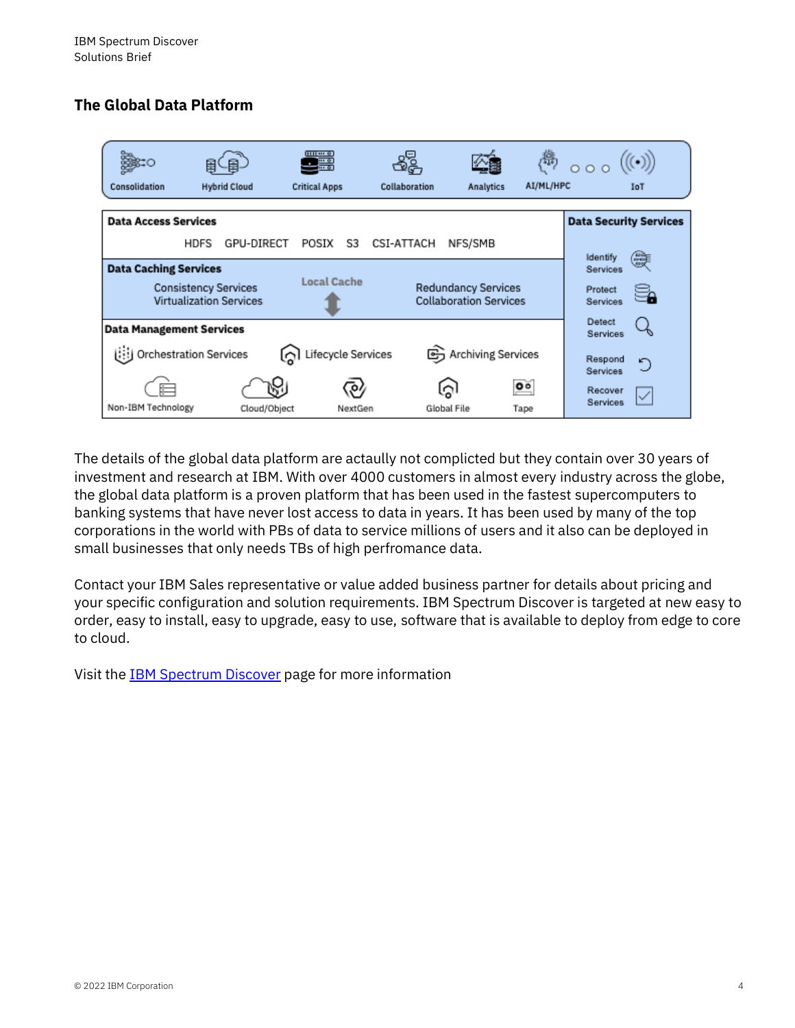## **The Global Data Platform**



The details of the global data platform are actaully not complicted but they contain over 30 years of investment and research at IBM. With over 4000 customers in almost every industry across the globe, the global data platform is a proven platform that has been used in the fastest supercomputers to banking systems that have never lost access to data in years. It has been used by many of the top corporations in the world with PBs of data to service millions of users and it also can be deployed in small businesses that only needs TBs of high perfromance data.

Contact your IBM Sales representative or value added business partner for details about pricing and your specific configuration and solution requirements. IBM Spectrum Discover is targeted at new easy to order, easy to install, easy to upgrade, easy to use, software that is available to deploy from edge to core to cloud.

Visit the IBM [Spectrum](https://www.ibm.com/products/spectrum-discover) Discover page for more information